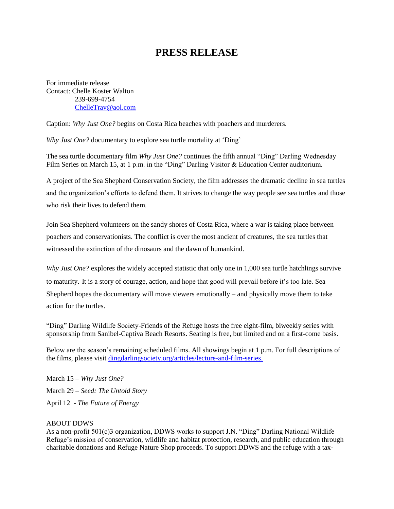## **PRESS RELEASE**

For immediate release Contact: Chelle Koster Walton 239-699-4754 [ChelleTrav@aol.com](mailto:ChelleTrav@aol.com)

Caption: *Why Just One?* begins on Costa Rica beaches with poachers and murderers.

*Why Just One?* documentary to explore sea turtle mortality at 'Ding'

The sea turtle documentary film *Why Just One?* continues the fifth annual "Ding" Darling Wednesday Film Series on March 15, at 1 p.m. in the "Ding" Darling Visitor & Education Center auditorium.

A project of the Sea Shepherd Conservation Society, the film addresses the dramatic decline in sea turtles and the organization's efforts to defend them. It strives to change the way people see sea turtles and those who risk their lives to defend them.

Join Sea Shepherd volunteers on the sandy shores of Costa Rica, where a war is taking place between poachers and conservationists. The conflict is over the most ancient of creatures, the sea turtles that witnessed the extinction of the dinosaurs and the dawn of humankind.

*Why Just One?* explores the widely accepted statistic that only one in 1,000 sea turtle hatchlings survive to maturity. It is a story of courage, action, and hope that good will prevail before it's too late. Sea Shepherd hopes the documentary will move viewers emotionally – and physically move them to take action for the turtles.

"Ding" Darling Wildlife Society-Friends of the Refuge hosts the free eight-film, biweekly series with sponsorship from Sanibel-Captiva Beach Resorts. Seating is free, but limited and on a first-come basis.

Below are the season's remaining scheduled films. All showings begin at 1 p.m. For full descriptions of the films, please visit [dingdarlingsociety.org/articles/lecture-and-film-series.](http://www.dingdarlingsociety.org/films)

March 15 – *Why Just One?* March 29 – *Seed: The Untold Story* April 12 - *The Future of Energy*

## ABOUT DDWS

As a non-profit 501(c)3 organization, DDWS works to support J.N. "Ding" Darling National Wildlife Refuge's mission of conservation, wildlife and habitat protection, research, and public education through charitable donations and Refuge Nature Shop proceeds. To support DDWS and the refuge with a tax